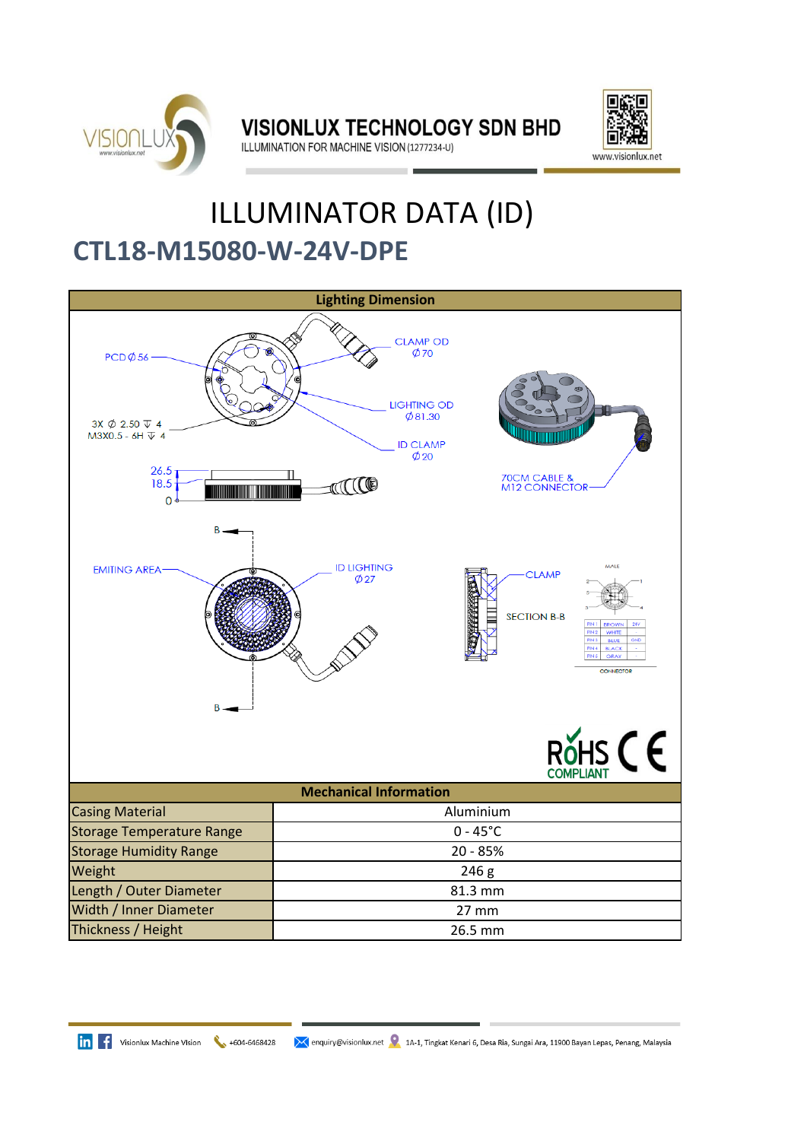

**VISIONLUX TECHNOLOGY SDN BHD** ILLUMINATION FOR MACHINE VISION (1277234-U)



## **CTL18-M15080-W-24V-DPE** ILLUMINATOR DATA (ID)



**in** f Visionlux Machine VIsion  $+604-6468428$ 

</a> enquiry@visionlux.net </a> 1A-1, Tingkat Kenari 6, Desa Ria, Sungai Ara, 11900 Bayan Lepas, Penang, Malaysia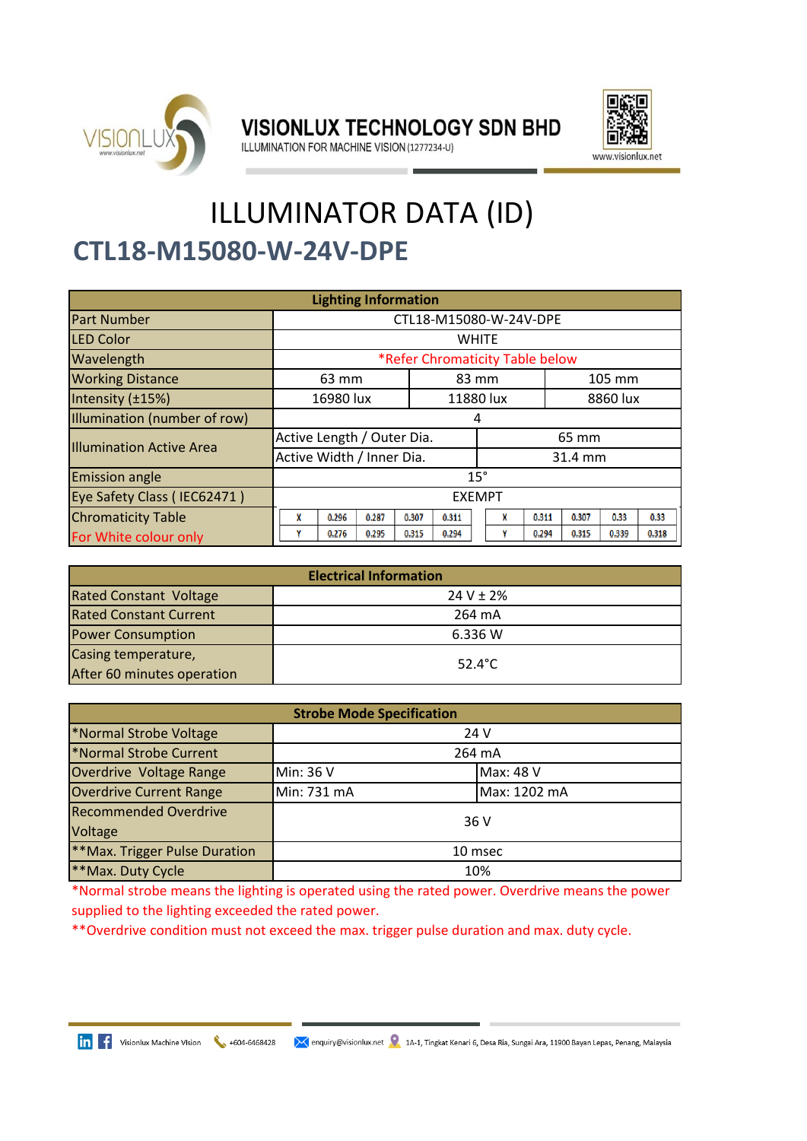

VISIONLUX TECHNOLOGY SDN BHD



ILLUMINATION FOR MACHINE VISION (1277234-U)

## **CTL18-M15080-W-24V-DPE** ILLUMINATOR DATA (ID)

| <b>Lighting Information</b>     |                                 |                |           |          |       |       |
|---------------------------------|---------------------------------|----------------|-----------|----------|-------|-------|
| <b>Part Number</b>              | CTL18-M15080-W-24V-DPE          |                |           |          |       |       |
| <b>LED Color</b>                | <b>WHITE</b>                    |                |           |          |       |       |
| Wavelength                      | *Refer Chromaticity Table below |                |           |          |       |       |
| <b>Working Distance</b>         | 63 mm                           | 83 mm          | 105 mm    |          |       |       |
| Intensity (±15%)                | 16980 lux                       |                | 11880 lux | 8860 lux |       |       |
| Illumination (number of row)    | 4                               |                |           |          |       |       |
| <b>Illumination Active Area</b> | Active Length / Outer Dia.      | 65 mm          |           |          |       |       |
|                                 | Active Width / Inner Dia.       |                |           | 31.4 mm  |       |       |
| <b>Emission angle</b>           | $15^\circ$                      |                |           |          |       |       |
| Eye Safety Class (IEC62471)     | <b>EXEMPT</b>                   |                |           |          |       |       |
| <b>Chromaticity Table</b>       | 0.287<br>X<br>0.296             | 0.307<br>0.311 | 0.311     | 0.307    | 0.33  | 0.33  |
| For White colour only           | 0.276<br>0.295                  | 0.315<br>0.294 | 0.294     | 0.315    | 0.339 | 0.318 |

| <b>Electrical Information</b> |                  |  |  |
|-------------------------------|------------------|--|--|
| <b>Rated Constant Voltage</b> | $24 V \pm 2%$    |  |  |
| <b>Rated Constant Current</b> | 264 mA           |  |  |
| <b>Power Consumption</b>      | 6.336 W          |  |  |
| Casing temperature,           | $52.4^{\circ}$ C |  |  |
| After 60 minutes operation    |                  |  |  |

| <b>Strobe Mode Specification</b> |             |  |              |
|----------------------------------|-------------|--|--------------|
| *Normal Strobe Voltage           | 24 V        |  |              |
| *Normal Strobe Current           | 264 mA      |  |              |
| Overdrive Voltage Range          | Min: 36 V   |  | Max: 48 V    |
| <b>Overdrive Current Range</b>   | Min: 731 mA |  | Max: 1202 mA |
| <b>Recommended Overdrive</b>     | 36 V        |  |              |
| Voltage                          |             |  |              |
| **Max. Trigger Pulse Duration    | 10 msec     |  |              |
| **Max. Duty Cycle                | 10%         |  |              |

\*Normal strobe means the lighting is operated using the rated power. Overdrive means the power supplied to the lighting exceeded the rated power.

\*\*Overdrive condition must not exceed the max. trigger pulse duration and max. duty cycle.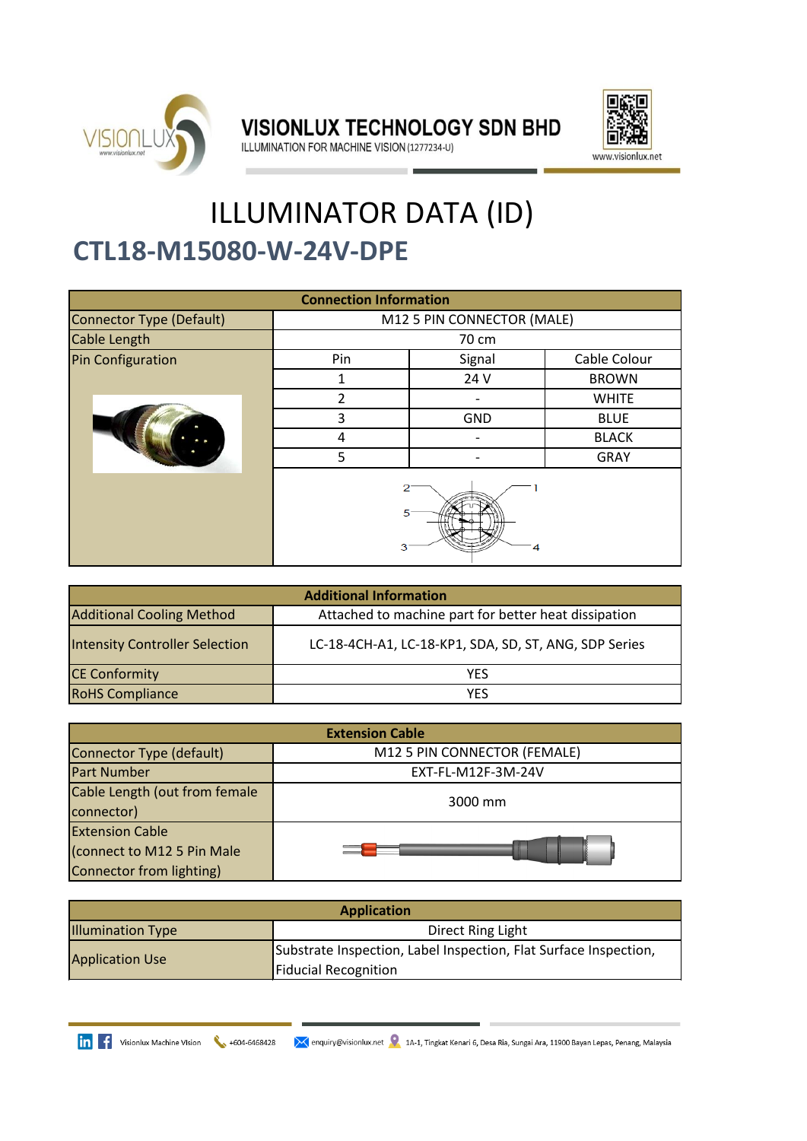

**VISIONLUX TECHNOLOGY SDN BHD** 



ILLUMINATION FOR MACHINE VISION (1277234-U)

## ILLUMINATOR DATA (ID) **CTL18-M15080-W-24V-DPE**

| <b>Connection Information</b>   |                            |              |              |  |
|---------------------------------|----------------------------|--------------|--------------|--|
| <b>Connector Type (Default)</b> | M12 5 PIN CONNECTOR (MALE) |              |              |  |
| Cable Length                    | 70 cm                      |              |              |  |
| <b>Pin Configuration</b>        | Pin                        | Cable Colour |              |  |
|                                 |                            | 24 V         | <b>BROWN</b> |  |
|                                 | 2                          |              | <b>WHITE</b> |  |
|                                 | 3                          | <b>GND</b>   | <b>BLUE</b>  |  |
|                                 | 4                          |              | <b>BLACK</b> |  |
|                                 | 5                          |              | <b>GRAY</b>  |  |
|                                 | 5<br>з<br>4                |              |              |  |

| <b>Additional Information</b>                                                            |                                                       |  |  |
|------------------------------------------------------------------------------------------|-------------------------------------------------------|--|--|
| <b>Additional Cooling Method</b><br>Attached to machine part for better heat dissipation |                                                       |  |  |
| <b>Intensity Controller Selection</b>                                                    | LC-18-4CH-A1, LC-18-KP1, SDA, SD, ST, ANG, SDP Series |  |  |
| <b>CE Conformity</b>                                                                     | YES                                                   |  |  |
| <b>RoHS Compliance</b>                                                                   | YFS                                                   |  |  |

| <b>Extension Cable</b>                                                           |                              |  |  |
|----------------------------------------------------------------------------------|------------------------------|--|--|
| Connector Type (default)                                                         | M12 5 PIN CONNECTOR (FEMALE) |  |  |
| <b>Part Number</b>                                                               | EXT-FL-M12F-3M-24V           |  |  |
| Cable Length (out from female<br>connector)                                      | 3000 mm                      |  |  |
| <b>Extension Cable</b><br>(connect to M12 5 Pin Male<br>Connector from lighting) |                              |  |  |

| <b>Application</b>                            |                                                                  |  |  |
|-----------------------------------------------|------------------------------------------------------------------|--|--|
| <b>Illumination Type</b><br>Direct Ring Light |                                                                  |  |  |
| <b>Application Use</b>                        | Substrate Inspection, Label Inspection, Flat Surface Inspection, |  |  |
|                                               | <b>Fiducial Recognition</b>                                      |  |  |